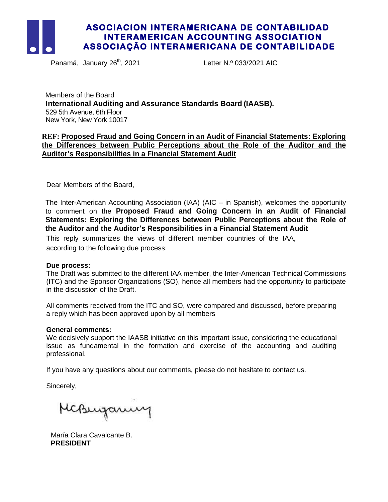

Panamá, January 26<sup>th</sup>, 2021

Letter N.º 033/2021 AIC

Members of the Board **International Auditing and Assurance Standards Board (IAASB).** 529 5th Avenue, 6th Floor New York, New York 10017

### **REF: Proposed Fraud and Going Concern in an Audit of Financial Statements: Exploring the Differences between Public Perceptions about the Role of the Auditor and the Auditor's Responsibilities in a Financial Statement Audit**

Dear Members of the Board,

The Inter-American Accounting Association (IAA) (AIC – in Spanish), welcomes the opportunity to comment on the **Proposed Fraud and Going Concern in an Audit of Financial Statements: Exploring the Differences between Public Perceptions about the Role of the Auditor and the Auditor's Responsibilities in a Financial Statement Audit**

This reply summarizes the views of different member countries of the IAA, according to the following due process:

### **Due process:**

The Draft was submitted to the different IAA member, the Inter-American Technical Commissions (ITC) and the Sponsor Organizations (SO), hence all members had the opportunity to participate in the discussion of the Draft.

All comments received from the ITC and SO, were compared and discussed, before preparing a reply which has been approved upon by all members

#### **General comments:**

We decisively support the IAASB initiative on this important issue, considering the educational issue as fundamental in the formation and exercise of the accounting and auditing professional.

If you have any questions about our comments, please do not hesitate to contact us.

Sincerely,

McBurgaming

María Clara Cavalcante B. **PRESIDENT**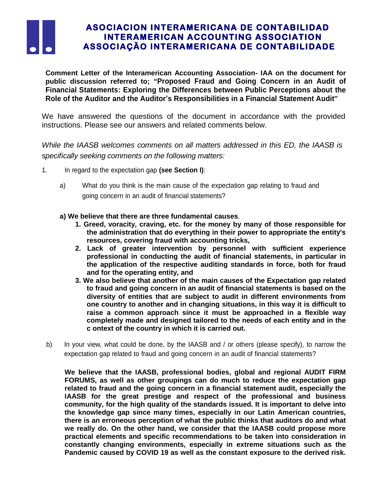

**Comment Letter of the Interamerican Accounting Association- IAA on the document for public discussion referred to; "Proposed Fraud and Going Concern in an Audit of Financial Statements: Exploring the Differences between Public Perceptions about the Role of the Auditor and the Auditor's Responsibilities in a Financial Statement Audit"**

We have answered the questions of the document in accordance with the provided instructions. Please see our answers and related comments below.

*While the IAASB welcomes comments on all matters addressed in this ED, the IAASB is specifically seeking comments on the following matters:*

- 1. In regard to the expectation gap **(see Section I)**:
	- a) What do you think is the main cause of the expectation gap relating to fraud and going concern in an audit of financial statements?
	- **a) We believe that there are three fundamental causes**.
		- **1. Greed, voracity, craving, etc. for the money by many of those responsible for the administration that do everything in their power to appropriate the entity's resources, covering fraud with accounting tricks,**
		- **2. Lack of greater intervention by personnel with sufficient experience professional in conducting the audit of financial statements, in particular in the application of the respective auditing standards in force, both for fraud and for the operating entity, and**
		- **3. We also believe that another of the main causes of the Expectation gap related to fraud and going concern in an audit of financial statements is based on the diversity of entities that are subject to audit in different environments from one country to another and in changing situations, in this way it is difficult to raise a common approach since it must be approached in a flexible way completely made and designed tailored to the needs of each entity and in the c ontext of the country in which it is carried out.**
- b) In your view, what could be done, by the IAASB and / or others (please specify), to narrow the expectation gap related to fraud and going concern in an audit of financial statements?

**We believe that the IAASB, professional bodies, global and regional AUDIT FIRM FORUMS, as well as other groupings can do much to reduce the expectation gap related to fraud and the going concern in a financial statement audit, especially the IAASB for the great prestige and respect of the professional and business community, for the high quality of the standards issued. It is important to delve into the knowledge gap since many times, especially in our Latin American countries, there is an erroneous perception of what the public thinks that auditors do and what we really do. On the other hand, we consider that the IAASB could propose more practical elements and specific recommendations to be taken into consideration in constantly changing environments, especially in extreme situations such as the Pandemic caused by COVID 19 as well as the constant exposure to the derived risk.**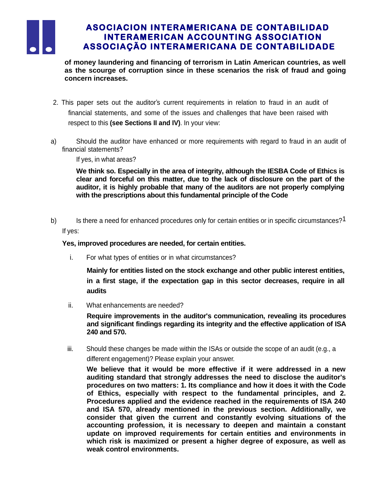

**of money laundering and financing of terrorism in Latin American countries, as well as the scourge of corruption since in these scenarios the risk of fraud and going concern increases.**

- 2. This paper sets out the auditor's current requirements in relation to fraud in an audit of financial statements, and some of the issues and challenges that have been raised with respect to this **(see Sections II and IV)**. In your view:
- a) Should the auditor have enhanced or more requirements with regard to fraud in an audit of financial statements?

If yes, in what areas?

**We think so. Especially in the area of integrity, although the IESBA Code of Ethics is clear and forceful on this matter, due to the lack of disclosure on the part of the auditor, it is highly probable that many of the auditors are not properly complying with the prescriptions about this fundamental principle of the Code**

b) Is there a need for enhanced procedures only for certain entities or in specific circumstances?<sup>1</sup> If yes:

### **Yes, improved procedures are needed, for certain entities.**

i. For what types of entities or in what circumstances?

**Mainly for entities listed on the stock exchange and other public interest entities, in a first stage, if the expectation gap in this sector decreases, require in all audits**

ii. What enhancements are needed?

**Require improvements in the auditor's communication, revealing its procedures and significant findings regarding its integrity and the effective application of ISA 240 and 570.**

iii. Should these changes be made within the ISAs or outside the scope of an audit (e.g., a different engagement)? Please explain your answer.

**We believe that it would be more effective if it were addressed in a new auditing standard that strongly addresses the need to disclose the auditor's procedures on two matters: 1. Its compliance and how it does it with the Code of Ethics, especially with respect to the fundamental principles, and 2. Procedures applied and the evidence reached in the requirements of ISA 240 and ISA 570, already mentioned in the previous section. Additionally, we consider that given the current and constantly evolving situations of the accounting profession, it is necessary to deepen and maintain a constant update on improved requirements for certain entities and environments in which risk is maximized or present a higher degree of exposure, as well as weak control environments.**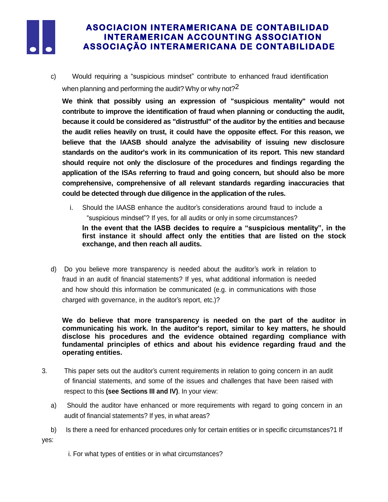

c) Would requiring a "suspicious mindset" contribute to enhanced fraud identification when planning and performing the audit? Why or why not?<sup>2</sup>

**We think that possibly using an expression of "suspicious mentality" would not contribute to improve the identification of fraud when planning or conducting the audit, because it could be considered as "distrustful" of the auditor by the entities and because the audit relies heavily on trust, it could have the opposite effect. For this reason, we believe that the IAASB should analyze the advisability of issuing new disclosure standards on the auditor's work in its communication of its report. This new standard should require not only the disclosure of the procedures and findings regarding the application of the ISAs referring to fraud and going concern, but should also be more comprehensive, comprehensive of all relevant standards regarding inaccuracies that could be detected through due diligence in the application of the rules.**

i. Should the IAASB enhance the auditor's considerations around fraud to include a "suspicious mindset"? If yes, for all audits or only in some circumstances?

**In the event that the IASB decides to require a "suspicious mentality", in the first instance it should affect only the entities that are listed on the stock exchange, and then reach all audits.**

d) Do you believe more transparency is needed about the auditor's work in relation to fraud in an audit of financial statements? If yes, what additional information is needed and how should this information be communicated (e.g. in communications with those charged with governance, in the auditor's report, etc.)?

**We do believe that more transparency is needed on the part of the auditor in communicating his work. In the auditor's report, similar to key matters, he should disclose his procedures and the evidence obtained regarding compliance with fundamental principles of ethics and about his evidence regarding fraud and the operating entities.**

- 3. This paper sets out the auditor's current requirements in relation to going concern in an audit of financial statements, and some of the issues and challenges that have been raised with respect to this **(see Sections III and IV)**. In your view:
	- a) Should the auditor have enhanced or more requirements with regard to going concern in an audit of financial statements? If yes, in what areas?
- b) Is there a need for enhanced procedures only for certain entities or in specific circumstances?1 If yes:

i. For what types of entities or in what circumstances?